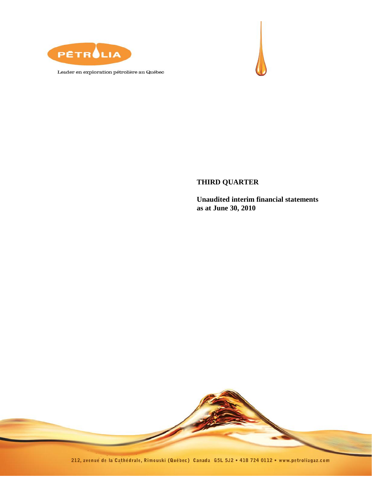

Leader en exploration pétrolière au Québec



# **THIRD QUARTER**

**Unaudited interim financial statements as at June 30, 2010**

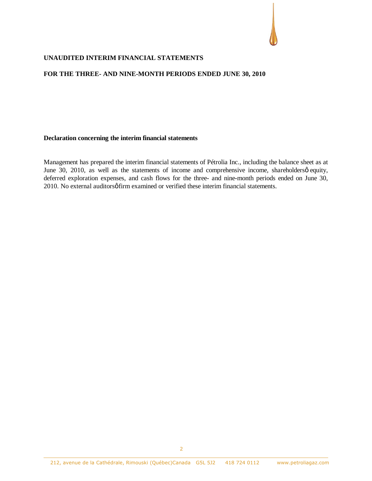

#### **UNAUDITED INTERIM FINANCIAL STATEMENTS**

#### **FOR THE THREE- AND NINE-MONTH PERIODS ENDED JUNE 30, 2010**

#### **Declaration concerning the interim financial statements**

Management has prepared the interim financial statements of Pétrolia Inc., including the balance sheet as at June 30, 2010, as well as the statements of income and comprehensive income, shareholdersø equity, deferred exploration expenses, and cash flows for the three- and nine-month periods ended on June 30, 2010. No external auditors of firm examined or verified these interim financial statements.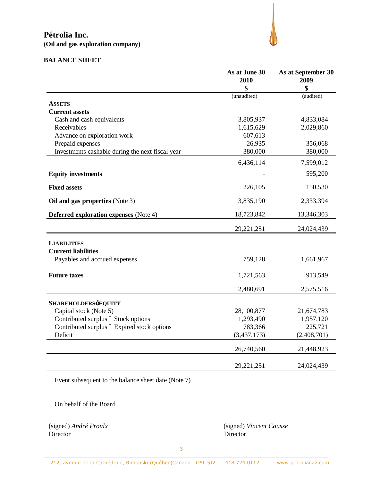

# **BALANCE SHEET**

|                                                  | As at June 30<br>2010 | As at September 30<br>2009 |
|--------------------------------------------------|-----------------------|----------------------------|
|                                                  | \$                    | \$                         |
|                                                  | (unaudited)           | (audited)                  |
| <b>ASSETS</b>                                    |                       |                            |
| <b>Current assets</b>                            |                       |                            |
| Cash and cash equivalents                        | 3,805,937             | 4,833,084                  |
| Receivables                                      | 1,615,629             | 2,029,860                  |
| Advance on exploration work                      | 607,613               |                            |
| Prepaid expenses                                 | 26,935                | 356,068                    |
| Investments cashable during the next fiscal year | 380,000               | 380,000                    |
|                                                  | 6,436,114             | 7,599,012                  |
| <b>Equity investments</b>                        |                       | 595,200                    |
| <b>Fixed assets</b>                              | 226,105               | 150,530                    |
| Oil and gas properties (Note 3)                  | 3,835,190             | 2,333,394                  |
| <b>Deferred exploration expenses</b> (Note 4)    | 18,723,842            | 13,346,303                 |
|                                                  | 29,221,251            | 24,024,439                 |
| <b>LIABILITIES</b>                               |                       |                            |
| <b>Current liabilities</b>                       |                       |                            |
| Payables and accrued expenses                    | 759,128               | 1,661,967                  |
| <b>Future taxes</b>                              | 1,721,563             | 913,549                    |
|                                                  | 2,480,691             | 2,575,516                  |
| <b>SHAREHOLDERSØEQUITY</b>                       |                       |                            |
| Capital stock (Note 5)                           | 28,100,877            | 21,674,783                 |
| Contributed surplus ó Stock options              | 1,293,490             | 1,957,120                  |
| Contributed surplus ó Expired stock options      | 783,366               | 225,721                    |
| Deficit                                          | (3, 437, 173)         | (2,408,701)                |
|                                                  | 26,740,560            | 21,448,923                 |
|                                                  | 29,221,251            | 24,024,439                 |

Event subsequent to the balance sheet date (Note 7)

On behalf of the Board

(signed) *André Proulx* (signed) *Vincent Causse* Director Director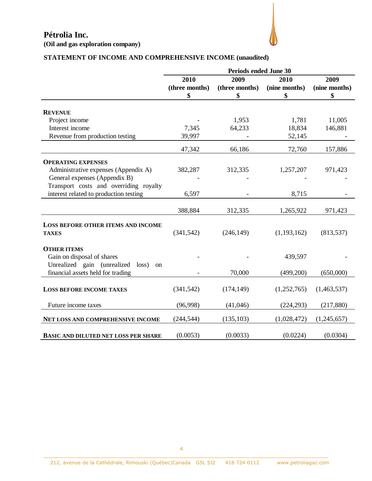

# **STATEMENT OF INCOME AND COMPREHENSIVE INCOME (unaudited)**

|                                                       | <b>Periods ended June 30</b> |                |               |               |  |
|-------------------------------------------------------|------------------------------|----------------|---------------|---------------|--|
|                                                       | 2009<br>2009<br>2010<br>2010 |                |               |               |  |
|                                                       | (three months)               | (three months) | (nine months) | (nine months) |  |
|                                                       | \$                           | \$             | \$            | \$            |  |
| <b>REVENUE</b>                                        |                              |                |               |               |  |
| Project income                                        |                              | 1,953          | 1,781         | 11,005        |  |
| Interest income                                       | 7,345                        | 64,233         | 18,834        | 146,881       |  |
|                                                       |                              |                |               |               |  |
| Revenue from production testing                       | 39,997                       |                | 52,145        |               |  |
|                                                       | 47,342                       | 66,186         | 72,760        | 157,886       |  |
| <b>OPERATING EXPENSES</b>                             |                              |                |               |               |  |
| Administrative expenses (Appendix A)                  | 382,287                      | 312,335        | 1,257,207     | 971,423       |  |
| General expenses (Appendix B)                         |                              |                |               |               |  |
| Transport costs and overriding royalty                |                              |                |               |               |  |
| interest related to production testing                | 6,597                        |                | 8,715         |               |  |
|                                                       |                              |                |               |               |  |
|                                                       | 388,884                      | 312,335        | 1,265,922     | 971,423       |  |
| <b>LOSS BEFORE OTHER ITEMS AND INCOME</b>             |                              |                |               |               |  |
| <b>TAXES</b>                                          | (341, 542)                   | (246, 149)     | (1, 193, 162) | (813, 537)    |  |
|                                                       |                              |                |               |               |  |
| <b>OTHER ITEMS</b>                                    |                              |                |               |               |  |
| Gain on disposal of shares                            |                              |                | 439,597       |               |  |
| Unrealized gain (unrealized<br>loss)<br><sub>on</sub> |                              |                |               |               |  |
| financial assets held for trading                     |                              | 70,000         | (499,200)     | (650,000)     |  |
|                                                       |                              |                |               |               |  |
| <b>LOSS BEFORE INCOME TAXES</b>                       | (341, 542)                   | (174, 149)     | (1,252,765)   | (1,463,537)   |  |
|                                                       |                              |                |               |               |  |
| Future income taxes                                   | (96,998)                     | (41,046)       | (224, 293)    | (217, 880)    |  |
| NET LOSS AND COMPREHENSIVE INCOME                     | (244, 544)                   | (135, 103)     | (1,028,472)   | (1,245,657)   |  |
|                                                       |                              |                |               |               |  |
| <b>BASIC AND DILUTED NET LOSS PER SHARE</b>           | (0.0053)                     | (0.0033)       | (0.0224)      | (0.0304)      |  |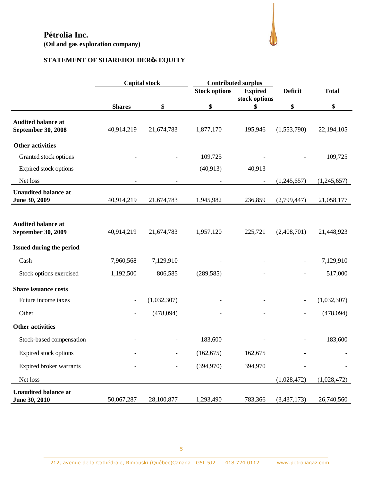

# **STATEMENT OF SHAREHOLDER'S EQUITY**

|                                                        |                          | <b>Capital stock</b> | <b>Contributed surplus</b> |                     |                          |              |
|--------------------------------------------------------|--------------------------|----------------------|----------------------------|---------------------|--------------------------|--------------|
|                                                        |                          |                      | <b>Stock options</b>       | <b>Expired</b>      | <b>Deficit</b>           | <b>Total</b> |
|                                                        | <b>Shares</b>            | \$                   | \$                         | stock options<br>\$ | \$                       | \$           |
|                                                        |                          |                      |                            |                     |                          |              |
| <b>Audited balance at</b><br><b>September 30, 2008</b> | 40,914,219               | 21,674,783           | 1,877,170                  | 195,946             | (1,553,790)              | 22,194,105   |
| <b>Other activities</b>                                |                          |                      |                            |                     |                          |              |
| Granted stock options                                  |                          |                      | 109,725                    |                     |                          | 109,725      |
| Expired stock options                                  |                          |                      | (40, 913)                  | 40,913              |                          |              |
| Net loss                                               |                          |                      |                            | $\qquad \qquad -$   | (1,245,657)              | (1,245,657)  |
| <b>Unaudited balance at</b><br>June 30, 2009           | 40,914,219               | 21,674,783           | 1,945,982                  | 236,859             | (2,799,447)              | 21,058,177   |
|                                                        |                          |                      |                            |                     |                          |              |
| <b>Audited balance at</b><br>September 30, 2009        | 40,914,219               | 21,674,783           | 1,957,120                  | 225,721             | (2,408,701)              | 21,448,923   |
| Issued during the period                               |                          |                      |                            |                     |                          |              |
| Cash                                                   | 7,960,568                | 7,129,910            |                            |                     |                          | 7,129,910    |
| Stock options exercised                                | 1,192,500                | 806,585              | (289, 585)                 |                     |                          | 517,000      |
| <b>Share issuance costs</b>                            |                          |                      |                            |                     |                          |              |
| Future income taxes                                    |                          | (1,032,307)          |                            |                     | $\overline{\phantom{a}}$ | (1,032,307)  |
| Other                                                  | $\overline{\phantom{a}}$ | (478,094)            |                            |                     | $\overline{\phantom{0}}$ | (478,094)    |
| <b>Other activities</b>                                |                          |                      |                            |                     |                          |              |
| Stock-based compensation                               |                          |                      | 183,600                    |                     |                          | 183,600      |
| Expired stock options                                  |                          |                      | (162, 675)                 | 162,675             |                          |              |
| Expired broker warrants                                |                          |                      | (394,970)                  | 394,970             |                          |              |
| Net loss                                               |                          |                      |                            |                     | (1,028,472)              | (1,028,472)  |
| <b>Unaudited balance at</b><br>June 30, 2010           | 50,067,287               | 28,100,877           | 1,293,490                  | 783,366             | (3,437,173)              | 26,740,560   |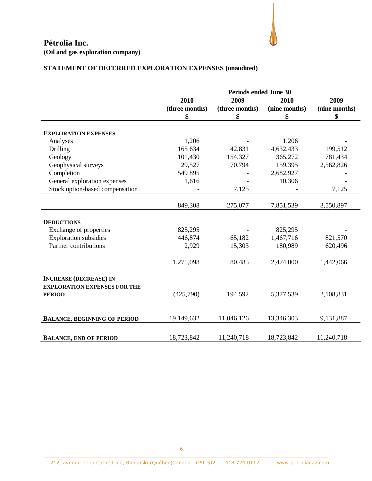

**(Oil and gas exploration company)**

# **STATEMENT OF DEFERRED EXPLORATION EXPENSES (unaudited)**

|                                     | <b>Periods ended June 30</b> |                |               |               |  |
|-------------------------------------|------------------------------|----------------|---------------|---------------|--|
|                                     | 2010<br>2009<br>2010<br>2009 |                |               |               |  |
|                                     | (three months)               | (three months) | (nine months) | (nine months) |  |
|                                     | \$                           | \$             | \$            | \$            |  |
|                                     |                              |                |               |               |  |
| <b>EXPLORATION EXPENSES</b>         |                              |                |               |               |  |
| Analyses                            | 1,206                        |                | 1,206         |               |  |
| <b>Drilling</b>                     | 165 634                      | 42,831         | 4,632,433     | 199,512       |  |
| Geology                             | 101,430                      | 154,327        | 365,272       | 781,434       |  |
| Geophysical surveys                 | 29,527                       | 70,794         | 159,395       | 2,562,826     |  |
| Completion                          | 549 895                      |                | 2,682,927     |               |  |
| General exploration expenses        | 1,616                        |                | 10,306        |               |  |
| Stock option-based compensation     |                              | 7,125          |               | 7,125         |  |
|                                     |                              |                |               |               |  |
|                                     | 849,308                      | 275,077        | 7,851,539     | 3,550,897     |  |
| <b>DEDUCTIONS</b>                   |                              |                |               |               |  |
| Exchange of properties              | 825,295                      |                | 825,295       |               |  |
| <b>Exploration subsidies</b>        | 446,874                      | 65,182         | 1,467,716     | 821,570       |  |
| Partner contributions               | 2,929                        | 15,303         | 180,989       | 620,496       |  |
|                                     |                              |                |               |               |  |
|                                     | 1,275,098                    | 80,485         | 2,474,000     | 1,442,066     |  |
| <b>INCREASE (DECREASE) IN</b>       |                              |                |               |               |  |
| <b>EXPLORATION EXPENSES FOR THE</b> |                              |                |               |               |  |
| <b>PERIOD</b>                       | (425,790)                    | 194,592        | 5,377,539     | 2,108,831     |  |
|                                     |                              |                |               |               |  |
| <b>BALANCE, BEGINNING OF PERIOD</b> | 19,149,632                   | 11,046,126     | 13,346,303    | 9,131,887     |  |
|                                     |                              |                |               |               |  |
| <b>BALANCE, END OF PERIOD</b>       | 18,723,842                   | 11,240,718     | 18,723,842    | 11,240,718    |  |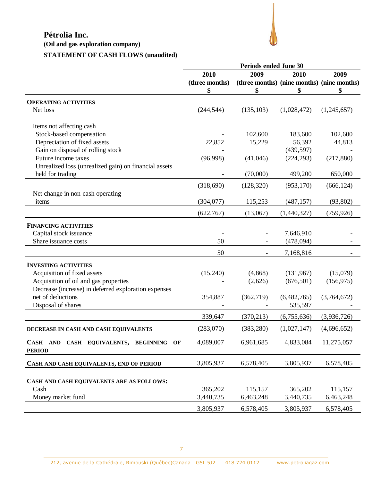**(Oil and gas exploration company)**

# **STATEMENT OF CASH FLOWS (unaudited)**

|                                                          | <b>Periods ended June 30</b> |                                            |             |             |
|----------------------------------------------------------|------------------------------|--------------------------------------------|-------------|-------------|
|                                                          | 2010                         | 2009                                       | 2010        | 2009        |
|                                                          | (three months)               | (three months) (nine months) (nine months) |             |             |
|                                                          | \$                           | \$                                         | \$          | \$          |
|                                                          |                              |                                            |             |             |
| <b>OPERATING ACTIVITIES</b>                              |                              |                                            |             |             |
| Net loss                                                 | (244, 544)                   | (135, 103)                                 | (1,028,472) | (1,245,657) |
| Items not affecting cash                                 |                              |                                            |             |             |
| Stock-based compensation                                 |                              | 102,600                                    | 183,600     | 102,600     |
| Depreciation of fixed assets                             | 22,852                       | 15,229                                     | 56,392      | 44,813      |
| Gain on disposal of rolling stock                        |                              |                                            | (439, 597)  |             |
| Future income taxes                                      | (96,998)                     | (41,046)                                   | (224, 293)  | (217, 880)  |
| Unrealized loss (unrealized gain) on financial assets    |                              |                                            |             |             |
| held for trading                                         |                              | (70,000)                                   | 499,200     | 650,000     |
|                                                          | (318,690)                    | (128, 320)                                 | (953, 170)  | (666, 124)  |
| Net change in non-cash operating                         |                              |                                            |             |             |
| items                                                    | (304, 077)                   | 115,253                                    | (487, 157)  | (93, 802)   |
|                                                          | (622, 767)                   | (13,067)                                   | (1,440,327) | (759, 926)  |
| <b>FINANCING ACTIVITIES</b>                              |                              |                                            |             |             |
| Capital stock issuance                                   |                              |                                            | 7,646,910   |             |
| Share issuance costs                                     | 50                           |                                            | (478,094)   |             |
|                                                          | 50                           |                                            | 7,168,816   |             |
| <b>INVESTING ACTIVITIES</b>                              |                              |                                            |             |             |
| Acquisition of fixed assets                              | (15,240)                     | (4,868)                                    | (131,967)   | (15,079)    |
| Acquisition of oil and gas properties                    |                              | (2,626)                                    | (676, 501)  | (156, 975)  |
| Decrease (increase) in deferred exploration expenses     |                              |                                            |             |             |
| net of deductions                                        | 354,887                      | (362, 719)                                 | (6,482,765) | (3,764,672) |
| Disposal of shares                                       |                              |                                            | 535,597     |             |
|                                                          |                              |                                            |             |             |
|                                                          | 339,647                      | (370, 213)                                 | (6,755,636) | (3,936,726) |
| DECREASE IN CASH AND CASH EQUIVALENTS                    | (283,070)                    | (383, 280)                                 | (1,027,147) | (4,696,652) |
| CASH AND CASH EQUIVALENTS, BEGINNING OF<br><b>PERIOD</b> | 4,089,007                    | 6,961,685                                  | 4,833,084   | 11,275,057  |
| CASH AND CASH EQUIVALENTS, END OF PERIOD                 | 3,805,937                    | 6,578,405                                  | 3,805,937   | 6,578,405   |
|                                                          |                              |                                            |             |             |
| CASH AND CASH EQUIVALENTS ARE AS FOLLOWS:                |                              |                                            |             |             |
| Cash                                                     | 365,202                      | 115,157                                    | 365,202     | 115,157     |
| Money market fund                                        | 3,440,735                    | 6,463,248                                  | 3,440,735   | 6,463,248   |
|                                                          |                              |                                            |             |             |
|                                                          | 3,805,937                    | 6,578,405                                  | 3,805,937   | 6,578,405   |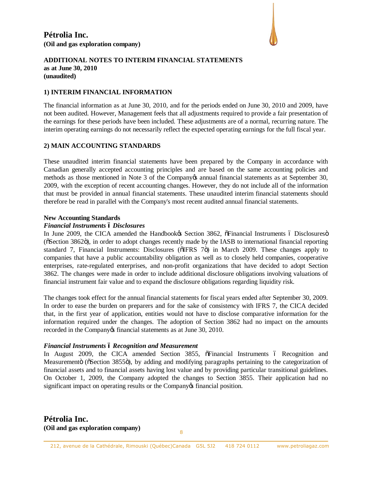

#### **1) INTERIM FINANCIAL INFORMATION**

The financial information as at June 30, 2010, and for the periods ended on June 30, 2010 and 2009, have not been audited. However, Management feels that all adjustments required to provide a fair presentation of the earnings for these periods have been included. These adjustments are of a normal, recurring nature. The interim operating earnings do not necessarily reflect the expected operating earnings for the full fiscal year.

#### **2) MAIN ACCOUNTING STANDARDS**

These unaudited interim financial statements have been prepared by the Company in accordance with Canadian generally accepted accounting principles and are based on the same accounting policies and methods as those mentioned in Note 3 of the Company is annual financial statements as at September 30, 2009, with the exception of recent accounting changes. However, they do not include all of the information that must be provided in annual financial statements. These unaudited interim financial statements should therefore be read in parallel with the Company's most recent audited annual financial statements.

#### **New Accounting Standards**

#### *Financial Instruments – Disclosures*

In June 2009, the CICA amended the Handbookes Section 3862,  $\tilde{\sigma}$ Financial Instruments ó Disclosures of Disclosures ( $\delta$ Section 3862 $\ddot{o}$ ), in order to adopt changes recently made by the IASB to international financial reporting standard 7, Financial Instruments: Disclosures ( $\delta$ IFRS 7 $\ddot{o}$ ) in March 2009. These changes apply to companies that have a public accountability obligation as well as to closely held companies, cooperative enterprises, rate-regulated enterprises, and non-profit organizations that have decided to adopt Section 3862. The changes were made in order to include additional disclosure obligations involving valuations of financial instrument fair value and to expand the disclosure obligations regarding liquidity risk.

The changes took effect for the annual financial statements for fiscal years ended after September 30, 2009. In order to ease the burden on preparers and for the sake of consistency with IFRS 7, the CICA decided that, in the first year of application, entities would not have to disclose comparative information for the information required under the changes. The adoption of Section 3862 had no impact on the amounts recorded in the Company is financial statements as at June 30, 2010.

#### *Financial Instruments – Recognition and Measurement*

In August 2009, the CICA amended Section 3855,  $\delta$ Financial Instruments  $\delta$  Recognition and Measuremento ( $\delta$ Section 3855 $\delta$ ), by adding and modifying paragraphs pertaining to the categorization of financial assets and to financial assets having lost value and by providing particular transitional guidelines. On October 1, 2009, the Company adopted the changes to Section 3855. Their application had no significant impact on operating results or the Company of financial position.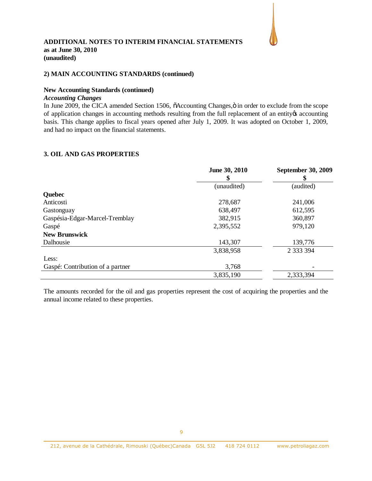

#### **2) MAIN ACCOUNTING STANDARDS (continued)**

#### **New Accounting Standards (continued)**

#### *Accounting Changes*

In June 2009, the CICA amended Section 1506,  $\tilde{o}$ Accounting Changes, $\ddot{o}$  in order to exclude from the scope of application changes in accounting methods resulting from the full replacement of an entity of accounting basis. This change applies to fiscal years opened after July 1, 2009. It was adopted on October 1, 2009, and had no impact on the financial statements.

#### **3. OIL AND GAS PROPERTIES**

|                                  | June 30, 2010 | <b>September 30, 2009</b> |
|----------------------------------|---------------|---------------------------|
|                                  |               |                           |
|                                  | (unaudited)   | (audited)                 |
| <b>Quebec</b>                    |               |                           |
| Anticosti                        | 278,687       | 241,006                   |
| Gastonguay                       | 638,497       | 612,595                   |
| Gaspésia-Edgar-Marcel-Tremblay   | 382,915       | 360,897                   |
| Gaspé                            | 2,395,552     | 979,120                   |
| <b>New Brunswick</b>             |               |                           |
| Dalhousie                        | 143,307       | 139,776                   |
|                                  | 3,838,958     | 2 3 3 3 3 9 4             |
| Less:                            |               |                           |
| Gaspé: Contribution of a partner | 3,768         |                           |
|                                  | 3,835,190     | 2,333,394                 |

The amounts recorded for the oil and gas properties represent the cost of acquiring the properties and the annual income related to these properties.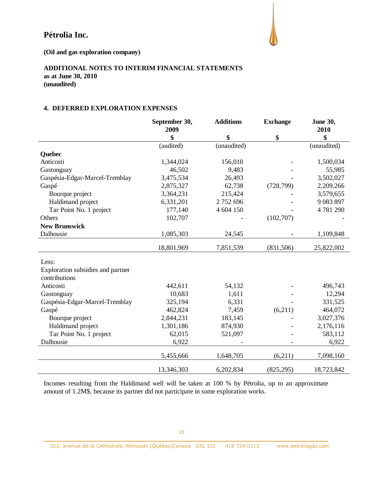

**(Oil and gas exploration company)**

# **ADDITIONAL NOTES TO INTERIM FINANCIAL STATEMENTS as at June 30, 2010**

**(unaudited)**

#### **4. DEFERRED EXPLORATION EXPENSES**

|                                   | September 30, | <b>Additions</b> | <b>Exchange</b> | <b>June 30,</b> |
|-----------------------------------|---------------|------------------|-----------------|-----------------|
|                                   | 2009          |                  |                 | 2010            |
|                                   | \$            | \$               | \$              | \$              |
|                                   | (audited)     | (unaudited)      |                 | (unaudited)     |
| Quebec                            |               |                  |                 |                 |
| Anticosti                         | 1,344,024     | 156,010          |                 | 1,500,034       |
| Gastonguay                        | 46,502        | 9,483            |                 | 55,985          |
| Gaspésia-Edgar-Marcel-Tremblay    | 3,475,534     | 26,493           |                 | 3,502,027       |
| Gaspé                             | 2,875,327     | 62,738           | (728, 799)      | 2,209,266       |
| Bourque project                   | 3,364,231     | 215,424          |                 | 3,579,655       |
| Haldimand project                 | 6,331,201     | 2752696          |                 | 9 083 897       |
| Tar Point No. 1 project           | 177,140       | 4 604 150        |                 | 4781290         |
| Others                            | 102,707       |                  | (102,707)       |                 |
| <b>New Brunswick</b>              |               |                  |                 |                 |
| Dalhousie                         | 1,085,303     | 24,545           |                 | 1,109,848       |
|                                   |               |                  |                 |                 |
|                                   | 18,801,969    | 7,851,539        | (831, 506)      | 25,822,002      |
| Less:                             |               |                  |                 |                 |
| Exploration subsidies and partner |               |                  |                 |                 |
| contributions                     |               |                  |                 |                 |
| Anticosti                         | 442,611       | 54,132           |                 | 496,743         |
| Gastonguay                        | 10,683        | 1,611            |                 | 12,294          |
| Gaspésia-Edgar-Marcel-Tremblay    | 325,194       | 6,331            |                 | 331,525         |
| Gaspé                             | 462,824       | 7,459            | (6,211)         | 464,072         |
| Bourque project                   | 2,844,231     | 183,145          |                 | 3,027,376       |
| Haldimand project                 | 1,301,186     | 874,930          |                 | 2,176,116       |
| Tar Point No. 1 project           | 62,015        | 521,097          |                 | 583,112         |
| Dalhousie                         | 6,922         |                  |                 | 6,922           |
|                                   |               |                  |                 |                 |
|                                   | 5,455,666     | 1,648,705        | (6,211)         | 7,098,160       |
|                                   | 13,346,303    | 6,202,834        | (825, 295)      | 18,723,842      |

Incomes resulting from the Haldimand well will be taken at 100 % by Pétrolia, up to an approximate amount of 1.2M\$, because its partner did not participate in some exploration works.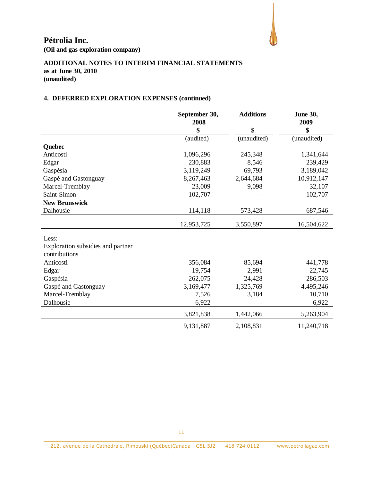**(Oil and gas exploration company)**

# **ADDITIONAL NOTES TO INTERIM FINANCIAL STATEMENTS as at June 30, 2010 (unaudited)**

# **4. DEFERRED EXPLORATION EXPENSES (continued)**

|                                   | September 30, | <b>Additions</b> | <b>June 30,</b> |
|-----------------------------------|---------------|------------------|-----------------|
|                                   | 2008          |                  | 2009            |
|                                   | \$            | \$               | \$              |
|                                   | (audited)     | (unaudited)      | (unaudited)     |
| Quebec                            |               |                  |                 |
| Anticosti                         | 1,096,296     | 245,348          | 1,341,644       |
| Edgar                             | 230,883       | 8,546            | 239,429         |
| Gaspésia                          | 3,119,249     | 69,793           | 3,189,042       |
| Gaspé and Gastonguay              | 8,267,463     | 2,644,684        | 10,912,147      |
| Marcel-Tremblay                   | 23,009        | 9,098            | 32,107          |
| Saint-Simon                       | 102,707       |                  | 102,707         |
| <b>New Brunswick</b>              |               |                  |                 |
| Dalhousie                         | 114,118       | 573,428          | 687,546         |
|                                   | 12,953,725    | 3,550,897        | 16,504,622      |
|                                   |               |                  |                 |
| Less:                             |               |                  |                 |
| Exploration subsidies and partner |               |                  |                 |
| contributions                     |               |                  |                 |
| Anticosti                         | 356,084       | 85,694           | 441,778         |
| Edgar                             | 19,754        | 2,991            | 22,745          |
| Gaspésia                          | 262,075       | 24,428           | 286,503         |
| Gaspé and Gastonguay              | 3,169,477     | 1,325,769        | 4,495,246       |
| Marcel-Tremblay                   | 7,526         | 3,184            | 10,710          |
| Dalhousie                         | 6,922         |                  | 6,922           |
|                                   | 3,821,838     | 1,442,066        | 5,263,904       |
|                                   | 9,131,887     | 2,108,831        | 11,240,718      |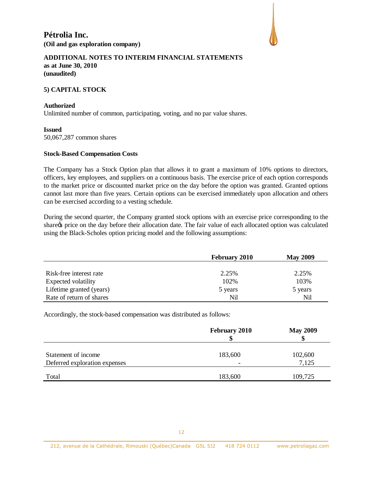

#### **ADDITIONAL NOTES TO INTERIM FINANCIAL STATEMENTS as at June 30, 2010 (unaudited)**

#### **5) CAPITAL STOCK**

#### **Authorized**

Unlimited number of common, participating, voting, and no par value shares.

#### **Issued**

50,067,287 common shares

#### **Stock-Based Compensation Costs**

The Company has a Stock Option plan that allows it to grant a maximum of 10% options to directors, officers, key employees, and suppliers on a continuous basis. The exercise price of each option corresponds to the market price or discounted market price on the day before the option was granted. Granted options cannot last more than five years. Certain options can be exercised immediately upon allocation and others can be exercised according to a vesting schedule.

During the second quarter, the Company granted stock options with an exercise price corresponding to the share to price on the day before their allocation date. The fair value of each allocated option was calculated using the Black-Scholes option pricing model and the following assumptions:

|                          | <b>February 2010</b> | <b>May 2009</b> |
|--------------------------|----------------------|-----------------|
|                          |                      |                 |
| Risk-free interest rate  | 2.25%                | 2.25%           |
| Expected volatility      | 102%                 | 103%            |
| Lifetime granted (years) | 5 years              | 5 years         |
| Rate of return of shares | Nil                  | Nil             |

Accordingly, the stock-based compensation was distributed as follows:

|                                                      | <b>February 2010</b> | <b>May 2009</b>  |
|------------------------------------------------------|----------------------|------------------|
| Statement of income<br>Deferred exploration expenses | 183,600              | 102,600<br>7,125 |
| Total                                                | 183,600              | 109,725          |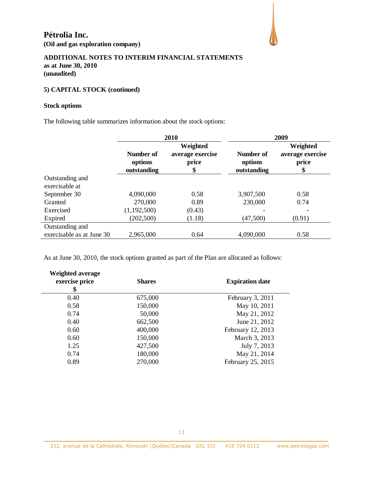

# **5) CAPITAL STOCK (continued)**

#### **Stock options**

The following table summarizes information about the stock options:

|                           | 2010                                |                                             | 2009                                |                                             |  |
|---------------------------|-------------------------------------|---------------------------------------------|-------------------------------------|---------------------------------------------|--|
|                           | Number of<br>options<br>outstanding | Weighted<br>average exercise<br>price<br>\$ | Number of<br>options<br>outstanding | Weighted<br>average exercise<br>price<br>\$ |  |
| Outstanding and           |                                     |                                             |                                     |                                             |  |
| exercisable at            |                                     |                                             |                                     |                                             |  |
| September 30              | 4,090,000                           | 0.58                                        | 3,907,500                           | 0.58                                        |  |
| Granted                   | 270,000                             | 0.89                                        | 230,000                             | 0.74                                        |  |
| Exercised                 | (1,192,500)                         | (0.43)                                      |                                     |                                             |  |
| Expired                   | (202, 500)                          | (1.18)                                      | (47,500)                            | (0.91)                                      |  |
| Outstanding and           |                                     |                                             |                                     |                                             |  |
| exercisable as at June 30 | 2,965,000                           | 0.64                                        | 4,090,000                           | 0.58                                        |  |

As at June 30, 2010, the stock options granted as part of the Plan are allocated as follows:

| <b>Weighted average</b><br>exercise price<br>\$ | <b>Shares</b> | <b>Expiration date</b> |
|-------------------------------------------------|---------------|------------------------|
| 0.40                                            | 675,000       | February 3, 2011       |
| 0.58                                            | 150,000       | May 10, 2011           |
| 0.74                                            | 50,000        | May 21, 2012           |
| 0.40                                            | 662,500       | June 21, 2012          |
| 0.60                                            | 400,000       | February 12, 2013      |
| 0.60                                            | 150,000       | March 3, 2013          |
| 1.25                                            | 427,500       | July 7, 2013           |
| 0.74                                            | 180,000       | May 21, 2014           |
| 0.89                                            | 270,000       | February 25, 2015      |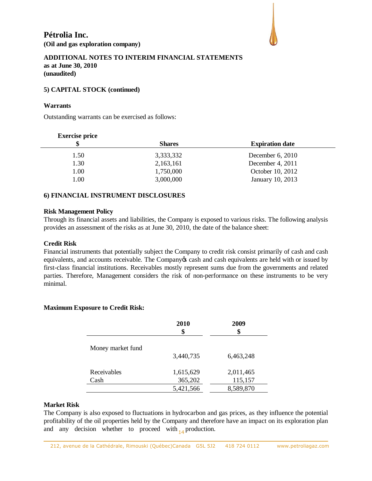

#### **5) CAPITAL STOCK (continued)**

#### **Warrants**

Outstanding warrants can be exercised as follows:

#### **Exercise price**

| \$   | <b>Shares</b> | <b>Expiration date</b> |
|------|---------------|------------------------|
| 1.50 | 3,333,332     | December $6, 2010$     |
| 1.30 | 2,163,161     | December 4, 2011       |
| 1.00 | 1,750,000     | October 10, 2012       |
| 1.00 | 3,000,000     | January 10, 2013       |
|      |               |                        |

## **6) FINANCIAL INSTRUMENT DISCLOSURES**

#### **Risk Management Policy**

Through its financial assets and liabilities, the Company is exposed to various risks. The following analysis provides an assessment of the risks as at June 30, 2010, the date of the balance sheet:

#### **Credit Risk**

Financial instruments that potentially subject the Company to credit risk consist primarily of cash and cash equivalents, and accounts receivable. The Company  $\alpha$  cash and cash equivalents are held with or issued by first-class financial institutions. Receivables mostly represent sums due from the governments and related parties. Therefore, Management considers the risk of non-performance on these instruments to be very minimal.

#### **Maximum Exposure to Credit Risk:**

|                   | <b>2010</b><br>\$ | 2009<br>\$ |  |
|-------------------|-------------------|------------|--|
| Money market fund |                   |            |  |
|                   | 3,440,735         | 6,463,248  |  |
|                   |                   |            |  |
| Receivables       | 1,615,629         | 2,011,465  |  |
| Cash              | 365,202           | 115,157    |  |
|                   | 5,421,566         | 8,589,870  |  |

#### **Market Risk**

and any decision whether to proceed with  $_{14}$  production. The Company is also exposed to fluctuations in hydrocarbon and gas prices, as they influence the potential profitability of the oil properties held by the Company and therefore have an impact on its exploration plan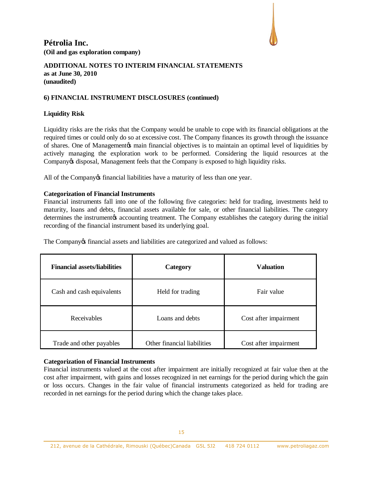

#### **ADDITIONAL NOTES TO INTERIM FINANCIAL STATEMENTS as at June 30, 2010 (unaudited)**

#### **6) FINANCIAL INSTRUMENT DISCLOSURES (continued)**

#### **Liquidity Risk**

Liquidity risks are the risks that the Company would be unable to cope with its financial obligations at the required times or could only do so at excessive cost. The Company finances its growth through the issuance of shares. One of Managementos main financial objectives is to maintain an optimal level of liquidities by actively managing the exploration work to be performed. Considering the liquid resources at the Company's disposal, Management feels that the Company is exposed to high liquidity risks.

All of the Company tinancial liabilities have a maturity of less than one year.

#### **Categorization of Financial Instruments**

Financial instruments fall into one of the following five categories: held for trading, investments held to maturity, loans and debts, financial assets available for sale, or other financial liabilities. The category determines the instrument to accounting treatment. The Company establishes the category during the initial recording of the financial instrument based its underlying goal.

| <b>Financial assets/liabilities</b> | Category                    | <b>Valuation</b>      |  |
|-------------------------------------|-----------------------------|-----------------------|--|
| Cash and cash equivalents           | Held for trading            | Fair value            |  |
| Receivables                         | Loans and debts             | Cost after impairment |  |
| Trade and other payables            | Other financial liabilities | Cost after impairment |  |

The Company of financial assets and liabilities are categorized and valued as follows:

#### **Categorization of Financial Instruments**

Financial instruments valued at the cost after impairment are initially recognized at fair value then at the cost after impairment, with gains and losses recognized in net earnings for the period during which the gain or loss occurs. Changes in the fair value of financial instruments categorized as held for trading are recorded in net earnings for the period during which the change takes place.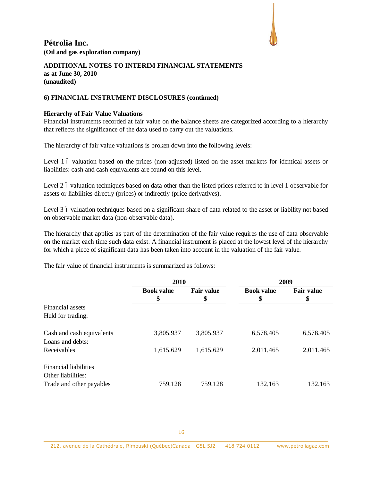

#### **ADDITIONAL NOTES TO INTERIM FINANCIAL STATEMENTS as at June 30, 2010 (unaudited)**

#### **6) FINANCIAL INSTRUMENT DISCLOSURES (continued)**

#### **Hierarchy of Fair Value Valuations**

Financial instruments recorded at fair value on the balance sheets are categorized according to a hierarchy that reflects the significance of the data used to carry out the valuations.

The hierarchy of fair value valuations is broken down into the following levels:

Level 1 6 valuation based on the prices (non-adjusted) listed on the asset markets for identical assets or liabilities: cash and cash equivalents are found on this level.

Level 2 6 valuation techniques based on data other than the listed prices referred to in level 1 observable for assets or liabilities directly (prices) or indirectly (price derivatives).

Level 3 6 valuation techniques based on a significant share of data related to the asset or liability not based on observable market data (non-observable data).

The hierarchy that applies as part of the determination of the fair value requires the use of data observable on the market each time such data exist. A financial instrument is placed at the lowest level of the hierarchy for which a piece of significant data has been taken into account in the valuation of the fair value.

The fair value of financial instruments is summarized as follows:

|                                                    | 2010                    |                         | 2009                    |                         |
|----------------------------------------------------|-------------------------|-------------------------|-------------------------|-------------------------|
|                                                    | <b>Book value</b><br>\$ | <b>Fair value</b><br>\$ | <b>Book value</b><br>\$ | <b>Fair value</b><br>\$ |
| Financial assets<br>Held for trading:              |                         |                         |                         |                         |
| Cash and cash equivalents<br>Loans and debts:      | 3,805,937               | 3,805,937               | 6,578,405               | 6,578,405               |
| Receivables                                        | 1,615,629               | 1,615,629               | 2,011,465               | 2,011,465               |
| <b>Financial liabilities</b><br>Other liabilities: |                         |                         |                         |                         |
| Trade and other payables                           | 759,128                 | 759,128                 | 132,163                 | 132,163                 |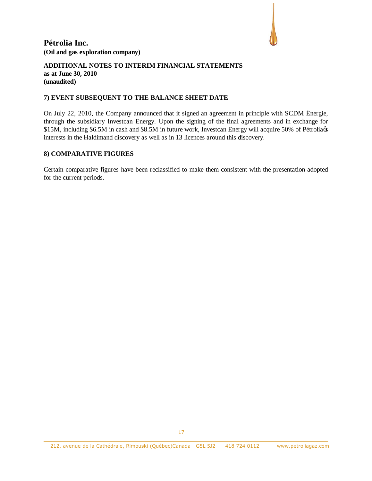

#### **ADDITIONAL NOTES TO INTERIM FINANCIAL STATEMENTS as at June 30, 2010 (unaudited)**

#### **7) EVENT SUBSEQUENT TO THE BALANCE SHEET DATE**

On July 22, 2010, the Company announced that it signed an agreement in principle with SCDM Énergie, through the subsidiary Investcan Energy. Upon the signing of the final agreements and in exchange for \$15M, including \$6.5M in cash and \$8.5M in future work, Investcan Energy will acquire 50% of Pétroliags interests in the Haldimand discovery as well as in 13 licences around this discovery.

#### **8) COMPARATIVE FIGURES**

Certain comparative figures have been reclassified to make them consistent with the presentation adopted for the current periods.